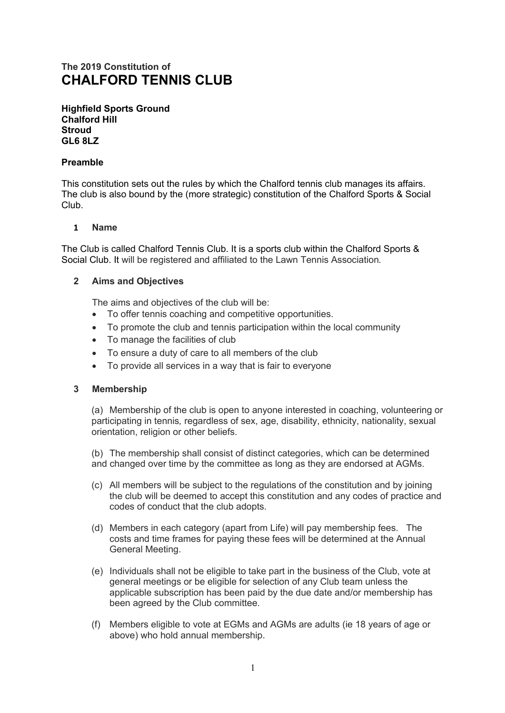# **The 2019 Constitution of CHALFORD TENNIS CLUB**

**Highfield Sports Ground Chalford Hill Stroud GL6 8LZ** 

## **Preamble**

This constitution sets out the rules by which the Chalford tennis club manages its affairs. The club is also bound by the (more strategic) constitution of the Chalford Sports & Social Club.

## **1 Name**

The Club is called Chalford Tennis Club. It is a sports club within the Chalford Sports & Social Club. It will be registered and affiliated to the Lawn Tennis Association*.*

## **2 Aims and Objectives**

The aims and objectives of the club will be:

- To offer tennis coaching and competitive opportunities.
- To promote the club and tennis participation within the local community
- To manage the facilities of club
- To ensure a duty of care to all members of the club
- To provide all services in a way that is fair to everyone

### **3 Membership**

(a) Membership of the club is open to anyone interested in coaching, volunteering or participating in tennis*,* regardless of sex, age, disability, ethnicity, nationality, sexual orientation, religion or other beliefs.

(b) The membership shall consist of distinct categories, which can be determined and changed over time by the committee as long as they are endorsed at AGMs.

- (c) All members will be subject to the regulations of the constitution and by joining the club will be deemed to accept this constitution and any codes of practice and codes of conduct that the club adopts.
- (d) Members in each category (apart from Life) will pay membership fees. The costs and time frames for paying these fees will be determined at the Annual General Meeting.
- (e) Individuals shall not be eligible to take part in the business of the Club, vote at general meetings or be eligible for selection of any Club team unless the applicable subscription has been paid by the due date and/or membership has been agreed by the Club committee.
- (f) Members eligible to vote at EGMs and AGMs are adults (ie 18 years of age or above) who hold annual membership.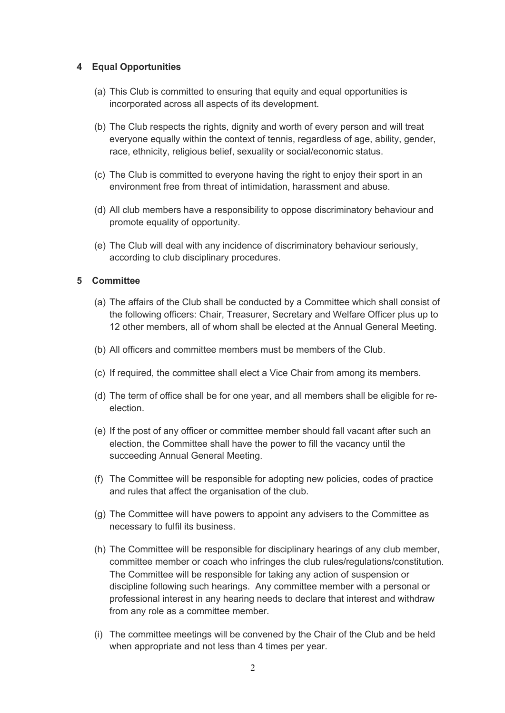# **4 Equal Opportunities**

- (a) This Club is committed to ensuring that equity and equal opportunities is incorporated across all aspects of its development.
- (b) The Club respects the rights, dignity and worth of every person and will treat everyone equally within the context of tennis, regardless of age, ability, gender, race, ethnicity, religious belief, sexuality or social/economic status.
- (c) The Club is committed to everyone having the right to enjoy their sport in an environment free from threat of intimidation, harassment and abuse.
- (d) All club members have a responsibility to oppose discriminatory behaviour and promote equality of opportunity.
- (e) The Club will deal with any incidence of discriminatory behaviour seriously, according to club disciplinary procedures.

# **5 Committee**

- (a) The affairs of the Club shall be conducted by a Committee which shall consist of the following officers: Chair, Treasurer, Secretary and Welfare Officer plus up to 12 other members, all of whom shall be elected at the Annual General Meeting.
- (b) All officers and committee members must be members of the Club.
- (c) If required, the committee shall elect a Vice Chair from among its members.
- (d) The term of office shall be for one year, and all members shall be eligible for reelection.
- (e) If the post of any officer or committee member should fall vacant after such an election, the Committee shall have the power to fill the vacancy until the succeeding Annual General Meeting.
- (f) The Committee will be responsible for adopting new policies, codes of practice and rules that affect the organisation of the club.
- (g) The Committee will have powers to appoint any advisers to the Committee as necessary to fulfil its business.
- (h) The Committee will be responsible for disciplinary hearings of any club member, committee member or coach who infringes the club rules/regulations/constitution. The Committee will be responsible for taking any action of suspension or discipline following such hearings. Any committee member with a personal or professional interest in any hearing needs to declare that interest and withdraw from any role as a committee member.
- (i) The committee meetings will be convened by the Chair of the Club and be held when appropriate and not less than 4 times per year.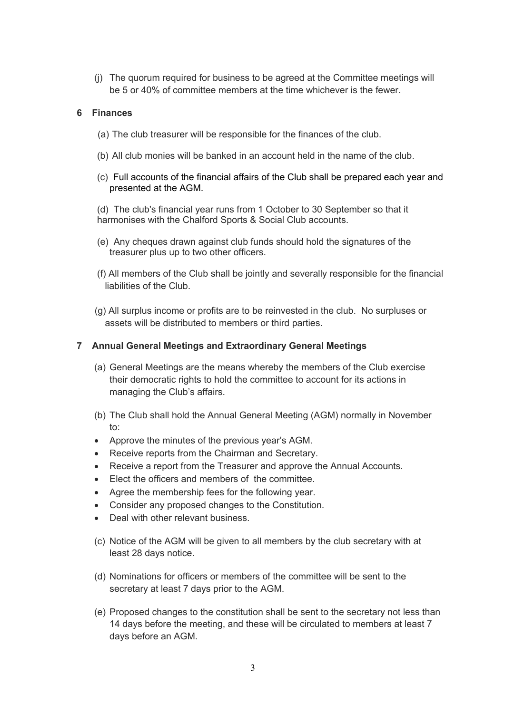(j) The quorum required for business to be agreed at the Committee meetings will be 5 or 40% of committee members at the time whichever is the fewer.

## **6 Finances**

- (a) The club treasurer will be responsible for the finances of the club.
- (b) All club monies will be banked in an account held in the name of the club.
- (c) Full accounts of the financial affairs of the Club shall be prepared each year and presented at the AGM.

(d) The club's financial year runs from 1 October to 30 September so that it harmonises with the Chalford Sports & Social Club accounts.

- (e) Any cheques drawn against club funds should hold the signatures of the treasurer plus up to two other officers.
- (f) All members of the Club shall be jointly and severally responsible for the financial liabilities of the Club.
- (g) All surplus income or profits are to be reinvested in the club. No surpluses or assets will be distributed to members or third parties.

## **7 Annual General Meetings and Extraordinary General Meetings**

- (a) General Meetings are the means whereby the members of the Club exercise their democratic rights to hold the committee to account for its actions in managing the Club's affairs.
- (b) The Club shall hold the Annual General Meeting (AGM) normally in November to:
- Approve the minutes of the previous year's AGM.
- Receive reports from the Chairman and Secretary.
- Receive a report from the Treasurer and approve the Annual Accounts.
- Elect the officers and members of the committee.
- Agree the membership fees for the following year.
- Consider any proposed changes to the Constitution.
- Deal with other relevant business.
- (c) Notice of the AGM will be given to all members by the club secretary with at least 28 days notice.
- (d) Nominations for officers or members of the committee will be sent to the secretary at least 7 days prior to the AGM.
- (e) Proposed changes to the constitution shall be sent to the secretary not less than 14 days before the meeting, and these will be circulated to members at least 7 days before an AGM.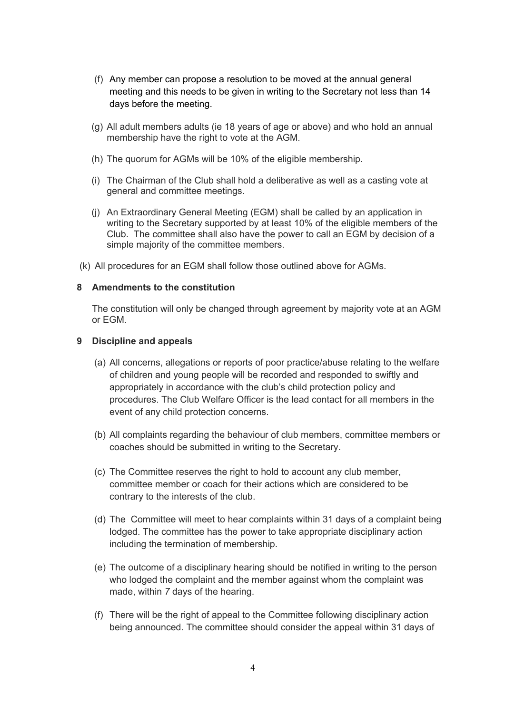- (f) Any member can propose a resolution to be moved at the annual general meeting and this needs to be given in writing to the Secretary not less than 14 days before the meeting.
- (g) All adult members adults (ie 18 years of age or above) and who hold an annual membership have the right to vote at the AGM.
- (h) The quorum for AGMs will be 10% of the eligible membership.
- (i) The Chairman of the Club shall hold a deliberative as well as a casting vote at general and committee meetings.
- (j) An Extraordinary General Meeting (EGM) shall be called by an application in writing to the Secretary supported by at least 10% of the eligible members of the Club. The committee shall also have the power to call an EGM by decision of a simple majority of the committee members.
- (k) All procedures for an EGM shall follow those outlined above for AGMs.

## **8 Amendments to the constitution**

The constitution will only be changed through agreement by majority vote at an AGM or EGM.

### **9 Discipline and appeals**

- (a) All concerns, allegations or reports of poor practice/abuse relating to the welfare of children and young people will be recorded and responded to swiftly and appropriately in accordance with the club's child protection policy and procedures. The Club Welfare Officer is the lead contact for all members in the event of any child protection concerns.
- (b) All complaints regarding the behaviour of club members, committee members or coaches should be submitted in writing to the Secretary.
- (c) The Committee reserves the right to hold to account any club member, committee member or coach for their actions which are considered to be contrary to the interests of the club.
- (d) The Committee will meet to hear complaints within 31 days of a complaint being lodged. The committee has the power to take appropriate disciplinary action including the termination of membership.
- (e) The outcome of a disciplinary hearing should be notified in writing to the person who lodged the complaint and the member against whom the complaint was made, within *7* days of the hearing.
- (f) There will be the right of appeal to the Committee following disciplinary action being announced. The committee should consider the appeal within 31 days of